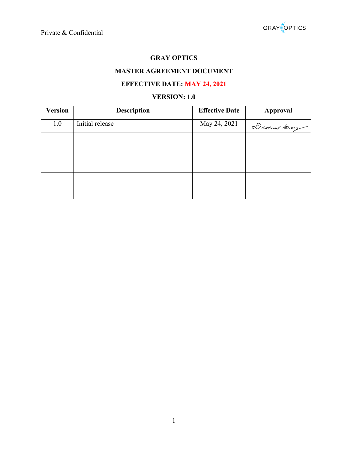# **GRAY OPTICS**

## **MASTER AGREEMENT DOCUMENT**

# **EFFECTIVE DATE: MAY 24, 2021**

## **VERSION: 1.0**

| <b>Version</b> | <b>Description</b> | <b>Effective Date</b> | Approval   |
|----------------|--------------------|-----------------------|------------|
| 1.0            | Initial release    | May 24, 2021          | Daming Smy |
|                |                    |                       |            |
|                |                    |                       |            |
|                |                    |                       |            |
|                |                    |                       |            |
|                |                    |                       |            |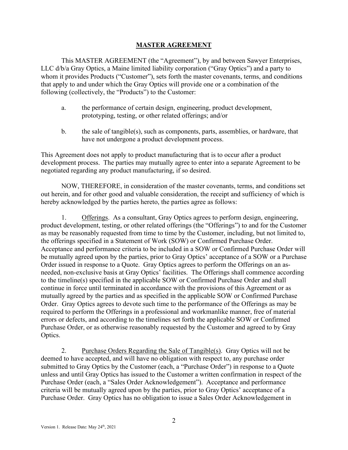## **MASTER AGREEMENT**

This MASTER AGREEMENT (the "Agreement"), by and between Sawyer Enterprises, LLC d/b/a Gray Optics, a Maine limited liability corporation ("Gray Optics") and a party to whom it provides Products ("Customer"), sets forth the master covenants, terms, and conditions that apply to and under which the Gray Optics will provide one or a combination of the following (collectively, the "Products") to the Customer:

- a. the performance of certain design, engineering, product development, prototyping, testing, or other related offerings; and/or
- b. the sale of tangible(s), such as components, parts, assemblies, or hardware, that have not undergone a product development process.

This Agreement does not apply to product manufacturing that is to occur after a product development process. The parties may mutually agree to enter into a separate Agreement to be negotiated regarding any product manufacturing, if so desired.

NOW, THEREFORE, in consideration of the master covenants, terms, and conditions set out herein, and for other good and valuable consideration, the receipt and sufficiency of which is hereby acknowledged by the parties hereto, the parties agree as follows:

1. Offerings. As a consultant, Gray Optics agrees to perform design, engineering, product development, testing, or other related offerings (the "Offerings") to and for the Customer as may be reasonably requested from time to time by the Customer, including, but not limited to, the offerings specified in a Statement of Work (SOW) or Confirmed Purchase Order. Acceptance and performance criteria to be included in a SOW or Confirmed Purchase Order will be mutually agreed upon by the parties, prior to Gray Optics' acceptance of a SOW or a Purchase Order issued in response to a Quote. Gray Optics agrees to perform the Offerings on an asneeded, non-exclusive basis at Gray Optics' facilities. The Offerings shall commence according to the timeline(s) specified in the applicable SOW or Confirmed Purchase Order and shall continue in force until terminated in accordance with the provisions of this Agreement or as mutually agreed by the parties and as specified in the applicable SOW or Confirmed Purchase Order. Gray Optics agrees to devote such time to the performance of the Offerings as may be required to perform the Offerings in a professional and workmanlike manner, free of material errors or defects, and according to the timelines set forth the applicable SOW or Confirmed Purchase Order, or as otherwise reasonably requested by the Customer and agreed to by Gray Optics.

2. Purchase Orders Regarding the Sale of Tangible(s). Gray Optics will not be deemed to have accepted, and will have no obligation with respect to, any purchase order submitted to Gray Optics by the Customer (each, a "Purchase Order") in response to a Quote unless and until Gray Optics has issued to the Customer a written confirmation in respect of the Purchase Order (each, a "Sales Order Acknowledgement"). Acceptance and performance criteria will be mutually agreed upon by the parties, prior to Gray Optics' acceptance of a Purchase Order. Gray Optics has no obligation to issue a Sales Order Acknowledgement in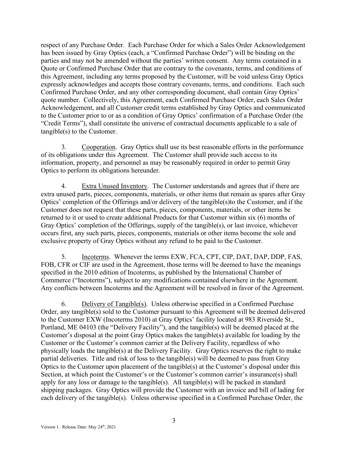respect of any Purchase Order. Each Purchase Order for which a Sales Order Acknowledgement has been issued by Gray Optics (each, a "Confirmed Purchase Order") will be binding on the parties and may not be amended without the parties' written consent. Any terms contained in a Quote or Confirmed Purchase Order that are contrary to the covenants, terms, and conditions of this Agreement, including any terms proposed by the Customer, will be void unless Gray Optics expressly acknowledges and accepts those contrary covenants, terms, and conditions. Each such Confirmed Purchase Order, and any other corresponding document, shall contain Gray Optics' quote number. Collectively, this Agreement, each Confirmed Purchase Order, each Sales Order Acknowledgement, and all Customer credit terms established by Gray Optics and communicated to the Customer prior to or as a condition of Gray Optics' confirmation of a Purchase Order (the "Credit Terms"), shall constitute the universe of contractual documents applicable to a sale of tangible(s) to the Customer.

3. Cooperation. Gray Optics shall use its best reasonable efforts in the performance of its obligations under this Agreement. The Customer shall provide such access to its information, property, and personnel as may be reasonably required in order to permit Gray Optics to perform its obligations hereunder.

4. Extra Unused Inventory. The Customer understands and agrees that if there are extra unused parts, pieces, components, materials, or other items that remain as spares after Gray Optics' completion of the Offerings and/or delivery of the tangible(s)to the Customer, and if the Customer does not request that these parts, pieces, components, materials, or other items be returned to it or used to create additional Products for that Customer within six (6) months of Gray Optics' completion of the Offerings, supply of the tangible(s), or last invoice, whichever occurs first, any such parts, pieces, components, materials or other items become the sole and exclusive property of Gray Optics without any refund to be paid to the Customer.

5. Incoterms. Whenever the terms EXW, FCA, CPT, CIP, DAT, DAP, DDP, FAS, FOB, CFR or CIF are used in the Agreement, those terms will be deemed to have the meanings specified in the 2010 edition of Incoterms, as published by the International Chamber of Commerce ("Incoterms"), subject to any modifications contained elsewhere in the Agreement. Any conflicts between Incoterms and the Agreement will be resolved in favor of the Agreement.

6. Delivery of Tangible(s). Unless otherwise specified in a Confirmed Purchase Order, any tangible(s) sold to the Customer pursuant to this Agreement will be deemed delivered to the Customer EXW (Incoterms 2010) at Gray Optics' facility located at 983 Riverside St., Portland, ME 04103 (the "Delivery Facility"), and the tangible(s) will be deemed placed at the Customer's disposal at the point Gray Optics makes the tangible(s) available for loading by the Customer or the Customer's common carrier at the Delivery Facility, regardless of who physically loads the tangible(s) at the Delivery Facility. Gray Optics reserves the right to make partial deliveries. Title and risk of loss to the tangible(s) will be deemed to pass from Gray Optics to the Customer upon placement of the tangible(s) at the Customer's disposal under this Section, at which point the Customer's or the Customer's common carrier's insurance(s) shall apply for any loss or damage to the tangible(s). All tangible(s) will be packed in standard shipping packages. Gray Optics will provide the Customer with an invoice and bill of lading for each delivery of the tangible(s). Unless otherwise specified in a Confirmed Purchase Order, the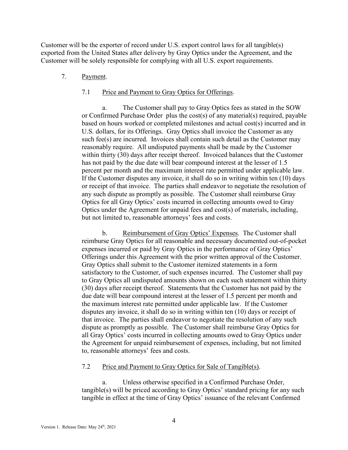Customer will be the exporter of record under U.S. export control laws for all tangible(s) exported from the United States after delivery by Gray Optics under the Agreement, and the Customer will be solely responsible for complying with all U.S. export requirements.

### 7. Payment.

## 7.1 Price and Payment to Gray Optics for Offerings.

a. The Customer shall pay to Gray Optics fees as stated in the SOW or Confirmed Purchase Order plus the cost(s) of any material(s) required, payable based on hours worked or completed milestones and actual cost(s) incurred and in U.S. dollars, for its Offerings. Gray Optics shall invoice the Customer as any such fee(s) are incurred. Invoices shall contain such detail as the Customer may reasonably require. All undisputed payments shall be made by the Customer within thirty (30) days after receipt thereof. Invoiced balances that the Customer has not paid by the due date will bear compound interest at the lesser of 1.5 percent per month and the maximum interest rate permitted under applicable law. If the Customer disputes any invoice, it shall do so in writing within ten (10) days or receipt of that invoice. The parties shall endeavor to negotiate the resolution of any such dispute as promptly as possible. The Customer shall reimburse Gray Optics for all Gray Optics' costs incurred in collecting amounts owed to Gray Optics under the Agreement for unpaid fees and cost(s) of materials, including, but not limited to, reasonable attorneys' fees and costs.

b. Reimbursement of Gray Optics' Expenses. The Customer shall reimburse Gray Optics for all reasonable and necessary documented out-of-pocket expenses incurred or paid by Gray Optics in the performance of Gray Optics' Offerings under this Agreement with the prior written approval of the Customer. Gray Optics shall submit to the Customer itemized statements in a form satisfactory to the Customer, of such expenses incurred. The Customer shall pay to Gray Optics all undisputed amounts shown on each such statement within thirty (30) days after receipt thereof. Statements that the Customer has not paid by the due date will bear compound interest at the lesser of 1.5 percent per month and the maximum interest rate permitted under applicable law. If the Customer disputes any invoice, it shall do so in writing within ten (10) days or receipt of that invoice. The parties shall endeavor to negotiate the resolution of any such dispute as promptly as possible. The Customer shall reimburse Gray Optics for all Gray Optics' costs incurred in collecting amounts owed to Gray Optics under the Agreement for unpaid reimbursement of expenses, including, but not limited to, reasonable attorneys' fees and costs.

### 7.2 Price and Payment to Gray Optics for Sale of Tangible(s).

Unless otherwise specified in a Confirmed Purchase Order, tangible(s) will be priced according to Gray Optics' standard pricing for any such tangible in effect at the time of Gray Optics' issuance of the relevant Confirmed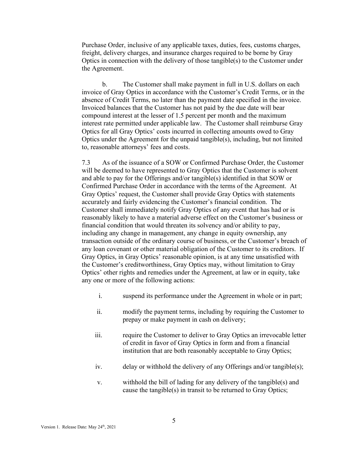Purchase Order, inclusive of any applicable taxes, duties, fees, customs charges, freight, delivery charges, and insurance charges required to be borne by Gray Optics in connection with the delivery of those tangible(s) to the Customer under the Agreement.

b. The Customer shall make payment in full in U.S. dollars on each invoice of Gray Optics in accordance with the Customer's Credit Terms, or in the absence of Credit Terms, no later than the payment date specified in the invoice. Invoiced balances that the Customer has not paid by the due date will bear compound interest at the lesser of 1.5 percent per month and the maximum interest rate permitted under applicable law. The Customer shall reimburse Gray Optics for all Gray Optics' costs incurred in collecting amounts owed to Gray Optics under the Agreement for the unpaid tangible(s), including, but not limited to, reasonable attorneys' fees and costs.

7.3 As of the issuance of a SOW or Confirmed Purchase Order, the Customer will be deemed to have represented to Gray Optics that the Customer is solvent and able to pay for the Offerings and/or tangible(s) identified in that SOW or Confirmed Purchase Order in accordance with the terms of the Agreement. At Gray Optics' request, the Customer shall provide Gray Optics with statements accurately and fairly evidencing the Customer's financial condition. The Customer shall immediately notify Gray Optics of any event that has had or is reasonably likely to have a material adverse effect on the Customer's business or financial condition that would threaten its solvency and/or ability to pay, including any change in management, any change in equity ownership, any transaction outside of the ordinary course of business, or the Customer's breach of any loan covenant or other material obligation of the Customer to its creditors. If Gray Optics, in Gray Optics' reasonable opinion, is at any time unsatisfied with the Customer's creditworthiness, Gray Optics may, without limitation to Gray Optics' other rights and remedies under the Agreement, at law or in equity, take any one or more of the following actions:

- i. suspend its performance under the Agreement in whole or in part;
- ii. modify the payment terms, including by requiring the Customer to prepay or make payment in cash on delivery;
- iii. require the Customer to deliver to Gray Optics an irrevocable letter of credit in favor of Gray Optics in form and from a financial institution that are both reasonably acceptable to Gray Optics;
- iv. delay or withhold the delivery of any Offerings and/or tangible(s);
- v. withhold the bill of lading for any delivery of the tangible(s) and cause the tangible(s) in transit to be returned to Gray Optics;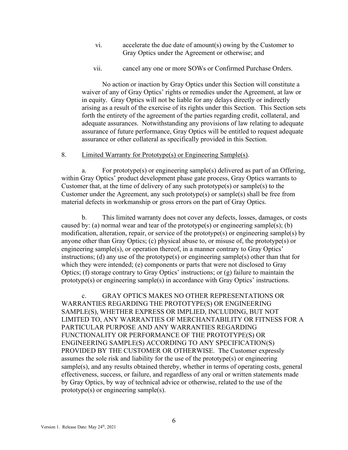- vi. accelerate the due date of amount(s) owing by the Customer to Gray Optics under the Agreement or otherwise; and
- vii. cancel any one or more SOWs or Confirmed Purchase Orders.

No action or inaction by Gray Optics under this Section will constitute a waiver of any of Gray Optics' rights or remedies under the Agreement, at law or in equity. Gray Optics will not be liable for any delays directly or indirectly arising as a result of the exercise of its rights under this Section. This Section sets forth the entirety of the agreement of the parties regarding credit, collateral, and adequate assurances. Notwithstanding any provisions of law relating to adequate assurance of future performance, Gray Optics will be entitled to request adequate assurance or other collateral as specifically provided in this Section.

#### 8. Limited Warranty for Prototype(s) or Engineering Sample(s).

a. For prototype(s) or engineering sample(s) delivered as part of an Offering, within Gray Optics' product development phase gate process, Gray Optics warrants to Customer that, at the time of delivery of any such prototype(s) or sample(s) to the Customer under the Agreement, any such prototype(s) or sample(s) shall be free from material defects in workmanship or gross errors on the part of Gray Optics.

b. This limited warranty does not cover any defects, losses, damages, or costs caused by: (a) normal wear and tear of the prototype(s) or engineering sample(s); (b) modification, alteration, repair, or service of the prototype(s) or engineering sample(s) by anyone other than Gray Optics; (c) physical abuse to, or misuse of, the prototype(s) or engineering sample(s), or operation thereof, in a manner contrary to Gray Optics' instructions; (d) any use of the prototype(s) or engineering sample(s) other than that for which they were intended; (e) components or parts that were not disclosed to Gray Optics; (f) storage contrary to Gray Optics' instructions; or (g) failure to maintain the prototype(s) or engineering sample(s) in accordance with Gray Optics' instructions.

c. GRAY OPTICS MAKES NO OTHER REPRESENTATIONS OR WARRANTIES REGARDING THE PROTOTYPE(S) OR ENGINEERING SAMPLE(S), WHETHER EXPRESS OR IMPLIED, INCLUDING, BUT NOT LIMITED TO, ANY WARRANTIES OF MERCHANTABILITY OR FITNESS FOR A PARTICULAR PURPOSE AND ANY WARRANTIES REGARDING FUNCTIONALITY OR PERFORMANCE OF THE PROTOTYPE(S) OR ENGINEERING SAMPLE(S) ACCORDING TO ANY SPECIFICATION(S) PROVIDED BY THE CUSTOMER OR OTHERWISE. The Customer expressly assumes the sole risk and liability for the use of the prototype(s) or engineering sample(s), and any results obtained thereby, whether in terms of operating costs, general effectiveness, success, or failure, and regardless of any oral or written statements made by Gray Optics, by way of technical advice or otherwise, related to the use of the prototype(s) or engineering sample(s).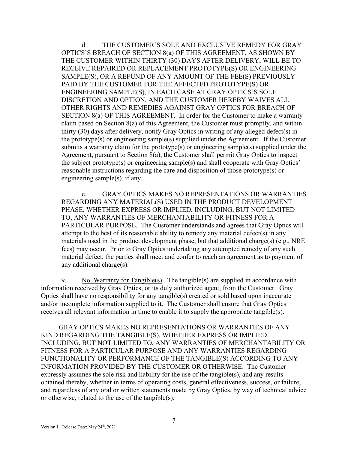d. THE CUSTOMER'S SOLE AND EXCLUSIVE REMEDY FOR GRAY OPTICS'S BREACH OF SECTION 8(a) OF THIS AGREEMENT, AS SHOWN BY THE CUSTOMER WITHIN THIRTY (30) DAYS AFTER DELIVERY, WILL BE TO RECEIVE REPAIRED OR REPLACEMENT PROTOTYPE(S) OR ENGINEERING SAMPLE(S), OR A REFUND OF ANY AMOUNT OF THE FEE(S) PREVIOUSLY PAID BY THE CUSTOMER FOR THE AFFECTED PROTOTYPE(S) OR ENGINEERING SAMPLE(S), IN EACH CASE AT GRAY OPTICS'S SOLE DISCRETION AND OPTION, AND THE CUSTOMER HEREBY WAIVES ALL OTHER RIGHTS AND REMEDIES AGAINST GRAY OPTICS FOR BREACH OF SECTION 8(a) OF THIS AGREEMENT. In order for the Customer to make a warranty claim based on Section 8(a) of this Agreement, the Customer must promptly, and within thirty (30) days after delivery, notify Gray Optics in writing of any alleged defect(s) in the prototype(s) or engineering sample(s) supplied under the Agreement. If the Customer submits a warranty claim for the prototype(s) or engineering sample(s) supplied under the Agreement, pursuant to Section  $\hat{8}(a)$ , the Customer shall permit Gray Optics to inspect the subject prototype(s) or engineering sample(s) and shall cooperate with Gray Optics' reasonable instructions regarding the care and disposition of those prototype(s) or engineering sample(s), if any.

e. GRAY OPTICS MAKES NO REPRESENTATIONS OR WARRANTIES REGARDING ANY MATERIAL(S) USED IN THE PRODUCT DEVELOPMENT PHASE, WHETHER EXPRESS OR IMPLIED, INCLUDING, BUT NOT LIMITED TO, ANY WARRANTIES OF MERCHANTABILITY OR FITNESS FOR A PARTICULAR PURPOSE. The Customer understands and agrees that Gray Optics will attempt to the best of its reasonable ability to remedy any material defect(s) in any materials used in the product development phase, but that additional charge(s) (e.g., NRE fees) may occur. Prior to Gray Optics undertaking any attempted remedy of any such material defect, the parties shall meet and confer to reach an agreement as to payment of any additional charge(s).

9. No Warranty for Tangible(s). The tangible(s) are supplied in accordance with information received by Gray Optics, or its duly authorized agent, from the Customer. Gray Optics shall have no responsibility for any tangible(s) created or sold based upon inaccurate and/or incomplete information supplied to it. The Customer shall ensure that Gray Optics receives all relevant information in time to enable it to supply the appropriate tangible(s).

GRAY OPTICS MAKES NO REPRESENTATIONS OR WARRANTIES OF ANY KIND REGARDING THE TANGIBLE(S), WHETHER EXPRESS OR IMPLIED, INCLUDING, BUT NOT LIMITED TO, ANY WARRANTIES OF MERCHANTABILITY OR FITNESS FOR A PARTICULAR PURPOSE AND ANY WARRANTIES REGARDING FUNCTIONALITY OR PERFORMANCE OF THE TANGIBLE(S) ACCORDING TO ANY INFORMATION PROVIDED BY THE CUSTOMER OR OTHERWISE. The Customer expressly assumes the sole risk and liability for the use of the tangible(s), and any results obtained thereby, whether in terms of operating costs, general effectiveness, success, or failure, and regardless of any oral or written statements made by Gray Optics, by way of technical advice or otherwise, related to the use of the tangible(s).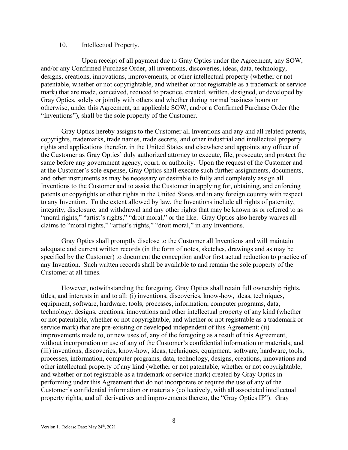#### 10. **Intellectual Property.**

Upon receipt of all payment due to Gray Optics under the Agreement, any SOW, and/or any Confirmed Purchase Order, all inventions, discoveries, ideas, data, technology, designs, creations, innovations, improvements, or other intellectual property (whether or not patentable, whether or not copyrightable, and whether or not registrable as a trademark or service mark) that are made, conceived, reduced to practice, created, written, designed, or developed by Gray Optics, solely or jointly with others and whether during normal business hours or otherwise, under this Agreement, an applicable SOW, and/or a Confirmed Purchase Order (the "Inventions"), shall be the sole property of the Customer.

Gray Optics hereby assigns to the Customer all Inventions and any and all related patents, copyrights, trademarks, trade names, trade secrets, and other industrial and intellectual property rights and applications therefor, in the United States and elsewhere and appoints any officer of the Customer as Gray Optics' duly authorized attorney to execute, file, prosecute, and protect the same before any government agency, court, or authority. Upon the request of the Customer and at the Customer's sole expense, Gray Optics shall execute such further assignments, documents, and other instruments as may be necessary or desirable to fully and completely assign all Inventions to the Customer and to assist the Customer in applying for, obtaining, and enforcing patents or copyrights or other rights in the United States and in any foreign country with respect to any Invention. To the extent allowed by law, the Inventions include all rights of paternity, integrity, disclosure, and withdrawal and any other rights that may be known as or referred to as "moral rights," "artist's rights," "droit moral," or the like. Gray Optics also hereby waives all claims to "moral rights," "artist's rights," "droit moral," in any Inventions.

Gray Optics shall promptly disclose to the Customer all Inventions and will maintain adequate and current written records (in the form of notes, sketches, drawings and as may be specified by the Customer) to document the conception and/or first actual reduction to practice of any Invention. Such written records shall be available to and remain the sole property of the Customer at all times.

However, notwithstanding the foregoing, Gray Optics shall retain full ownership rights, titles, and interests in and to all: (i) inventions, discoveries, know-how, ideas, techniques, equipment, software, hardware, tools, processes, information, computer programs, data, technology, designs, creations, innovations and other intellectual property of any kind (whether or not patentable, whether or not copyrightable, and whether or not registrable as a trademark or service mark) that are pre-existing or developed independent of this Agreement; (ii) improvements made to, or new uses of, any of the foregoing as a result of this Agreement, without incorporation or use of any of the Customer's confidential information or materials; and (iii) inventions, discoveries, know-how, ideas, techniques, equipment, software, hardware, tools, processes, information, computer programs, data, technology, designs, creations, innovations and other intellectual property of any kind (whether or not patentable, whether or not copyrightable, and whether or not registrable as a trademark or service mark) created by Gray Optics in performing under this Agreement that do not incorporate or require the use of any of the Customer's confidential information or materials (collectively, with all associated intellectual property rights, and all derivatives and improvements thereto, the "Gray Optics IP"). Gray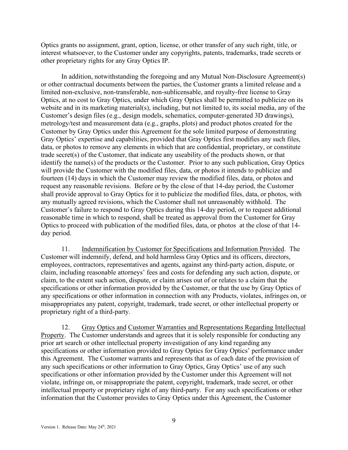Optics grants no assignment, grant, option, license, or other transfer of any such right, title, or interest whatsoever, to the Customer under any copyrights, patents, trademarks, trade secrets or other proprietary rights for any Gray Optics IP.

In addition, notwithstanding the foregoing and any Mutual Non-Disclosure Agreement(s) or other contractual documents between the parties, the Customer grants a limited release and a limited non-exclusive, non-transferable, non-sublicensable, and royalty-free license to Gray Optics, at no cost to Gray Optics, under which Gray Optics shall be permitted to publicize on its website and in its marketing material(s), including, but not limited to, its social media, any of the Customer's design files (e.g., design models, schematics, computer-generated 3D drawings), metrology/test and measurement data (e.g., graphs, plots) and product photos created for the Customer by Gray Optics under this Agreement for the sole limited purpose of demonstrating Gray Optics' expertise and capabilities, provided that Gray Optics first modifies any such files, data, or photos to remove any elements in which that are confidential, proprietary, or constitute trade secret(s) of the Customer, that indicate any useability of the products shown, or that identify the name(s) of the products or the Customer. Prior to any such publication, Gray Optics will provide the Customer with the modified files, data, or photos it intends to publicize and fourteen (14) days in which the Customer may review the modified files, data, or photos and request any reasonable revisions. Before or by the close of that 14-day period, the Customer shall provide approval to Gray Optics for it to publicize the modified files, data, or photos, with any mutually agreed revisions, which the Customer shall not unreasonably withhold. The Customer's failure to respond to Gray Optics during this 14-day period, or to request additional reasonable time in which to respond, shall be treated as approval from the Customer for Gray Optics to proceed with publication of the modified files, data, or photos at the close of that 14 day period.

11. Indemnification by Customer for Specifications and Information Provided. The Customer will indemnify, defend, and hold harmless Gray Optics and its officers, directors, employees, contractors, representatives and agents, against any third-party action, dispute, or claim, including reasonable attorneys' fees and costs for defending any such action, dispute, or claim, to the extent such action, dispute, or claim arises out of or relates to a claim that the specifications or other information provided by the Customer, or that the use by Gray Optics of any specifications or other information in connection with any Products, violates, infringes on, or misappropriates any patent, copyright, trademark, trade secret, or other intellectual property or proprietary right of a third-party.

12. Gray Optics and Customer Warranties and Representations Regarding Intellectual Property. The Customer understands and agrees that it is solely responsible for conducting any prior art search or other intellectual property investigation of any kind regarding any specifications or other information provided to Gray Optics for Gray Optics' performance under this Agreement. The Customer warrants and represents that as of each date of the provision of any such specifications or other information to Gray Optics, Gray Optics' use of any such specifications or other information provided by the Customer under this Agreement will not violate, infringe on, or misappropriate the patent, copyright, trademark, trade secret, or other intellectual property or proprietary right of any third-party. For any such specifications or other information that the Customer provides to Gray Optics under this Agreement, the Customer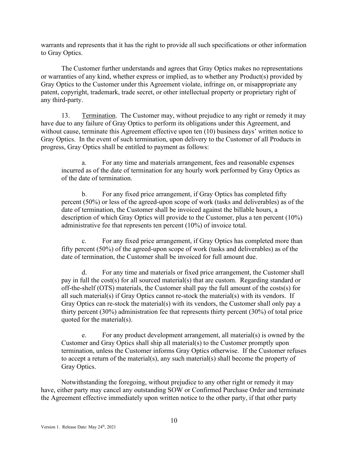warrants and represents that it has the right to provide all such specifications or other information to Gray Optics.

The Customer further understands and agrees that Gray Optics makes no representations or warranties of any kind, whether express or implied, as to whether any Product(s) provided by Gray Optics to the Customer under this Agreement violate, infringe on, or misappropriate any patent, copyright, trademark, trade secret, or other intellectual property or proprietary right of any third-party.

13. Termination. The Customer may, without prejudice to any right or remedy it may have due to any failure of Gray Optics to perform its obligations under this Agreement, and without cause, terminate this Agreement effective upon ten (10) business days' written notice to Gray Optics. In the event of such termination, upon delivery to the Customer of all Products in progress, Gray Optics shall be entitled to payment as follows:

a. For any time and materials arrangement, fees and reasonable expenses incurred as of the date of termination for any hourly work performed by Gray Optics as of the date of termination.

b. For any fixed price arrangement, if Gray Optics has completed fifty percent (50%) or less of the agreed-upon scope of work (tasks and deliverables) as of the date of termination, the Customer shall be invoiced against the billable hours, a description of which Gray Optics will provide to the Customer, plus a ten percent (10%) administrative fee that represents ten percent (10%) of invoice total.

c. For any fixed price arrangement, if Gray Optics has completed more than fifty percent (50%) of the agreed-upon scope of work (tasks and deliverables) as of the date of termination, the Customer shall be invoiced for full amount due.

d. For any time and materials or fixed price arrangement, the Customer shall pay in full the cost(s) for all sourced material(s) that are custom. Regarding standard or off-the-shelf (OTS) materials, the Customer shall pay the full amount of the costs(s) for all such material(s) if Gray Optics cannot re-stock the material(s) with its vendors. If Gray Optics can re-stock the material(s) with its vendors, the Customer shall only pay a thirty percent (30%) administration fee that represents thirty percent (30%) of total price quoted for the material(s).

e. For any product development arrangement, all material(s) is owned by the Customer and Gray Optics shall ship all material(s) to the Customer promptly upon termination, unless the Customer informs Gray Optics otherwise. If the Customer refuses to accept a return of the material(s), any such material(s) shall become the property of Gray Optics.

Notwithstanding the foregoing, without prejudice to any other right or remedy it may have, either party may cancel any outstanding SOW or Confirmed Purchase Order and terminate the Agreement effective immediately upon written notice to the other party, if that other party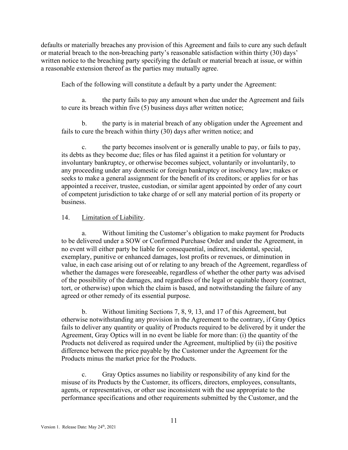defaults or materially breaches any provision of this Agreement and fails to cure any such default or material breach to the non-breaching party's reasonable satisfaction within thirty (30) days' written notice to the breaching party specifying the default or material breach at issue, or within a reasonable extension thereof as the parties may mutually agree.

Each of the following will constitute a default by a party under the Agreement:

a. the party fails to pay any amount when due under the Agreement and fails to cure its breach within five (5) business days after written notice;

b. the party is in material breach of any obligation under the Agreement and fails to cure the breach within thirty (30) days after written notice; and

c. the party becomes insolvent or is generally unable to pay, or fails to pay, its debts as they become due; files or has filed against it a petition for voluntary or involuntary bankruptcy, or otherwise becomes subject, voluntarily or involuntarily, to any proceeding under any domestic or foreign bankruptcy or insolvency law; makes or seeks to make a general assignment for the benefit of its creditors; or applies for or has appointed a receiver, trustee, custodian, or similar agent appointed by order of any court of competent jurisdiction to take charge of or sell any material portion of its property or business.

### 14. Limitation of Liability.

a. Without limiting the Customer's obligation to make payment for Products to be delivered under a SOW or Confirmed Purchase Order and under the Agreement, in no event will either party be liable for consequential, indirect, incidental, special, exemplary, punitive or enhanced damages, lost profits or revenues, or diminution in value, in each case arising out of or relating to any breach of the Agreement, regardless of whether the damages were foreseeable, regardless of whether the other party was advised of the possibility of the damages, and regardless of the legal or equitable theory (contract, tort, or otherwise) upon which the claim is based, and notwithstanding the failure of any agreed or other remedy of its essential purpose.

b. Without limiting Sections 7, 8, 9, 13, and 17 of this Agreement, but otherwise notwithstanding any provision in the Agreement to the contrary, if Gray Optics fails to deliver any quantity or quality of Products required to be delivered by it under the Agreement, Gray Optics will in no event be liable for more than: (i) the quantity of the Products not delivered as required under the Agreement, multiplied by (ii) the positive difference between the price payable by the Customer under the Agreement for the Products minus the market price for the Products.

c. Gray Optics assumes no liability or responsibility of any kind for the misuse of its Products by the Customer, its officers, directors, employees, consultants, agents, or representatives, or other use inconsistent with the use appropriate to the performance specifications and other requirements submitted by the Customer, and the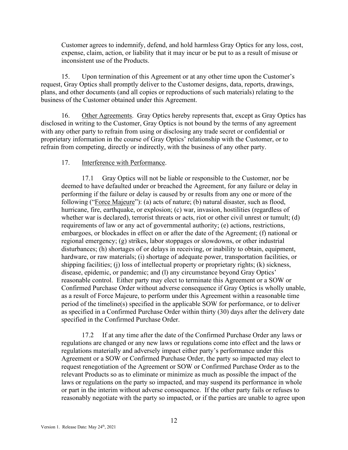Customer agrees to indemnify, defend, and hold harmless Gray Optics for any loss, cost, expense, claim, action, or liability that it may incur or be put to as a result of misuse or inconsistent use of the Products.

15. Upon termination of this Agreement or at any other time upon the Customer's request, Gray Optics shall promptly deliver to the Customer designs, data, reports, drawings, plans, and other documents (and all copies or reproductions of such materials) relating to the business of the Customer obtained under this Agreement.

16. Other Agreements. Gray Optics hereby represents that, except as Gray Optics has disclosed in writing to the Customer, Gray Optics is not bound by the terms of any agreement with any other party to refrain from using or disclosing any trade secret or confidential or proprietary information in the course of Gray Optics' relationship with the Customer, or to refrain from competing, directly or indirectly, with the business of any other party.

## 17. Interference with Performance.

17.1 Gray Optics will not be liable or responsible to the Customer, nor be deemed to have defaulted under or breached the Agreement, for any failure or delay in performing if the failure or delay is caused by or results from any one or more of the following ("Force Majeure"): (a) acts of nature; (b) natural disaster, such as flood, hurricane, fire, earthquake, or explosion; (c) war, invasion, hostilities (regardless of whether war is declared), terrorist threats or acts, riot or other civil unrest or tumult; (d) requirements of law or any act of governmental authority; (e) actions, restrictions, embargoes, or blockades in effect on or after the date of the Agreement; (f) national or regional emergency; (g) strikes, labor stoppages or slowdowns, or other industrial disturbances; (h) shortages of or delays in receiving, or inability to obtain, equipment, hardware, or raw materials; (i) shortage of adequate power, transportation facilities, or shipping facilities; (j) loss of intellectual property or proprietary rights; (k) sickness, disease, epidemic, or pandemic; and (l) any circumstance beyond Gray Optics' reasonable control. Either party may elect to terminate this Agreement or a SOW or Confirmed Purchase Order without adverse consequence if Gray Optics is wholly unable, as a result of Force Majeure, to perform under this Agreement within a reasonable time period of the timeline(s) specified in the applicable SOW for performance, or to deliver as specified in a Confirmed Purchase Order within thirty (30) days after the delivery date specified in the Confirmed Purchase Order.

17.2 If at any time after the date of the Confirmed Purchase Order any laws or regulations are changed or any new laws or regulations come into effect and the laws or regulations materially and adversely impact either party's performance under this Agreement or a SOW or Confirmed Purchase Order, the party so impacted may elect to request renegotiation of the Agreement or SOW or Confirmed Purchase Order as to the relevant Products so as to eliminate or minimize as much as possible the impact of the laws or regulations on the party so impacted, and may suspend its performance in whole or part in the interim without adverse consequence. If the other party fails or refuses to reasonably negotiate with the party so impacted, or if the parties are unable to agree upon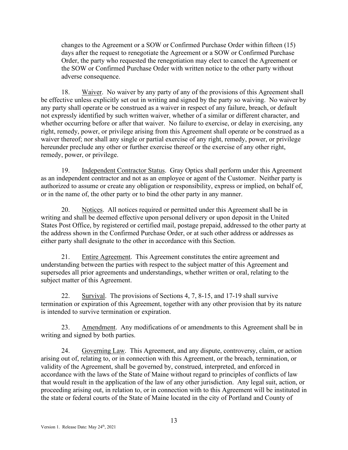changes to the Agreement or a SOW or Confirmed Purchase Order within fifteen (15) days after the request to renegotiate the Agreement or a SOW or Confirmed Purchase Order, the party who requested the renegotiation may elect to cancel the Agreement or the SOW or Confirmed Purchase Order with written notice to the other party without adverse consequence.

18. Waiver. No waiver by any party of any of the provisions of this Agreement shall be effective unless explicitly set out in writing and signed by the party so waiving. No waiver by any party shall operate or be construed as a waiver in respect of any failure, breach, or default not expressly identified by such written waiver, whether of a similar or different character, and whether occurring before or after that waiver. No failure to exercise, or delay in exercising, any right, remedy, power, or privilege arising from this Agreement shall operate or be construed as a waiver thereof; nor shall any single or partial exercise of any right, remedy, power, or privilege hereunder preclude any other or further exercise thereof or the exercise of any other right, remedy, power, or privilege.

19. Independent Contractor Status. Gray Optics shall perform under this Agreement as an independent contractor and not as an employee or agent of the Customer. Neither party is authorized to assume or create any obligation or responsibility, express or implied, on behalf of, or in the name of, the other party or to bind the other party in any manner.

20. Notices. All notices required or permitted under this Agreement shall be in writing and shall be deemed effective upon personal delivery or upon deposit in the United States Post Office, by registered or certified mail, postage prepaid, addressed to the other party at the address shown in the Confirmed Purchase Order, or at such other address or addresses as either party shall designate to the other in accordance with this Section.

21. Entire Agreement. This Agreement constitutes the entire agreement and understanding between the parties with respect to the subject matter of this Agreement and supersedes all prior agreements and understandings, whether written or oral, relating to the subject matter of this Agreement.

22. Survival. The provisions of Sections 4, 7, 8-15, and 17-19 shall survive termination or expiration of this Agreement, together with any other provision that by its nature is intended to survive termination or expiration.

23. Amendment. Any modifications of or amendments to this Agreement shall be in writing and signed by both parties.

24. Governing Law. This Agreement, and any dispute, controversy, claim, or action arising out of, relating to, or in connection with this Agreement, or the breach, termination, or validity of the Agreement, shall be governed by, construed, interpreted, and enforced in accordance with the laws of the State of Maine without regard to principles of conflicts of law that would result in the application of the law of any other jurisdiction. Any legal suit, action, or proceeding arising out, in relation to, or in connection with to this Agreement will be instituted in the state or federal courts of the State of Maine located in the city of Portland and County of